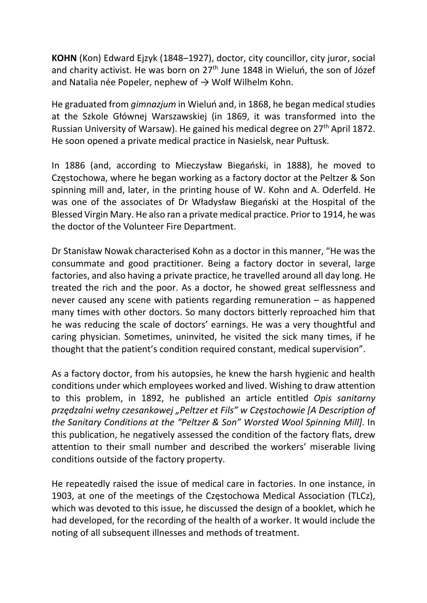KOHN (Kon) Edward Ejzyk (1848–1927), doctor, city councillor, city juror, social and charity activist. He was born on 27<sup>th</sup> June 1848 in Wieluń, the son of Józef and Natalia née Popeler, nephew of  $\rightarrow$  Wolf Wilhelm Kohn.

He graduated from gimnazjum in Wieluń and, in 1868, he began medical studies at the Szkole Głównej Warszawskiej (in 1869, it was transformed into the Russian University of Warsaw). He gained his medical degree on 27<sup>th</sup> April 1872. He soon opened a private medical practice in Nasielsk, near Pułtusk.

In 1886 (and, according to Mieczysław Biegański, in 1888), he moved to Częstochowa, where he began working as a factory doctor at the Peltzer & Son spinning mill and, later, in the printing house of W. Kohn and A. Oderfeld. He was one of the associates of Dr Władysław Biegański at the Hospital of the Blessed Virgin Mary. He also ran a private medical practice. Prior to 1914, he was the doctor of the Volunteer Fire Department.

Dr Stanisław Nowak characterised Kohn as a doctor in this manner, "He was the consummate and good practitioner. Being a factory doctor in several, large factories, and also having a private practice, he travelled around all day long. He treated the rich and the poor. As a doctor, he showed great selflessness and never caused any scene with patients regarding remuneration – as happened many times with other doctors. So many doctors bitterly reproached him that he was reducing the scale of doctors' earnings. He was a very thoughtful and caring physician. Sometimes, uninvited, he visited the sick many times, if he thought that the patient's condition required constant, medical supervision".

As a factory doctor, from his autopsies, he knew the harsh hygienic and health conditions under which employees worked and lived. Wishing to draw attention to this problem, in 1892, he published an article entitled Opis sanitarny przędzalni wełny czesankowej "Peltzer et Fils" w Częstochowie [A Description of the Sanitary Conditions at the "Peltzer & Son" Worsted Wool Spinning Mill]. In this publication, he negatively assessed the condition of the factory flats, drew attention to their small number and described the workers' miserable living conditions outside of the factory property.

He repeatedly raised the issue of medical care in factories. In one instance, in 1903, at one of the meetings of the Częstochowa Medical Association (TLCz), which was devoted to this issue, he discussed the design of a booklet, which he had developed, for the recording of the health of a worker. It would include the noting of all subsequent illnesses and methods of treatment.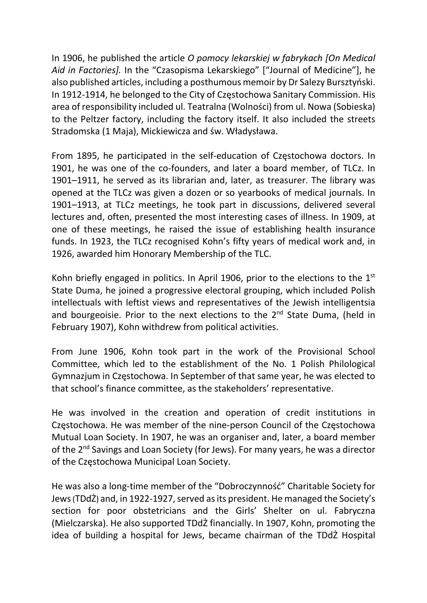In 1906, he published the article O pomocy lekarskiej w fabrykach [On Medical Aid in Factories]. In the "Czasopisma Lekarskiego" ["Journal of Medicine"], he also published articles, including a posthumous memoir by Dr Salezy Bursztyński. In 1912-1914, he belonged to the City of Częstochowa Sanitary Commission. His area of responsibility included ul. Teatralna (Wolności) from ul. Nowa (Sobieska) to the Peltzer factory, including the factory itself. It also included the streets Stradomska (1 Maja), Mickiewicza and św. Władysława.

From 1895, he participated in the self-education of Częstochowa doctors. In 1901, he was one of the co-founders, and later a board member, of TLCz. In 1901–1911, he served as its librarian and, later, as treasurer. The library was opened at the TLCz was given a dozen or so yearbooks of medical journals. In 1901–1913, at TLCz meetings, he took part in discussions, delivered several lectures and, often, presented the most interesting cases of illness. In 1909, at one of these meetings, he raised the issue of establishing health insurance funds. In 1923, the TLCz recognised Kohn's fifty years of medical work and, in 1926, awarded him Honorary Membership of the TLC.

Kohn briefly engaged in politics. In April 1906, prior to the elections to the  $1<sup>st</sup>$ State Duma, he joined a progressive electoral grouping, which included Polish intellectuals with leftist views and representatives of the Jewish intelligentsia and bourgeoisie. Prior to the next elections to the  $2<sup>nd</sup>$  State Duma, (held in February 1907), Kohn withdrew from political activities.

From June 1906, Kohn took part in the work of the Provisional School Committee, which led to the establishment of the No. 1 Polish Philological Gymnazjum in Częstochowa. In September of that same year, he was elected to that school's finance committee, as the stakeholders' representative.

He was involved in the creation and operation of credit institutions in Częstochowa. He was member of the nine-person Council of the Częstochowa Mutual Loan Society. In 1907, he was an organiser and, later, a board member of the 2<sup>nd</sup> Savings and Loan Society (for Jews). For many years, he was a director of the Częstochowa Municipal Loan Society.

He was also a long-time member of the "Dobroczynność" Charitable Society for Jews (TDdŻ) and, in 1922-1927, served as its president. He managed the Society's section for poor obstetricians and the Girls' Shelter on ul. Fabryczna (Mielczarska). He also supported TDdŻ financially. In 1907, Kohn, promoting the idea of building a hospital for Jews, became chairman of the TDdŻ Hospital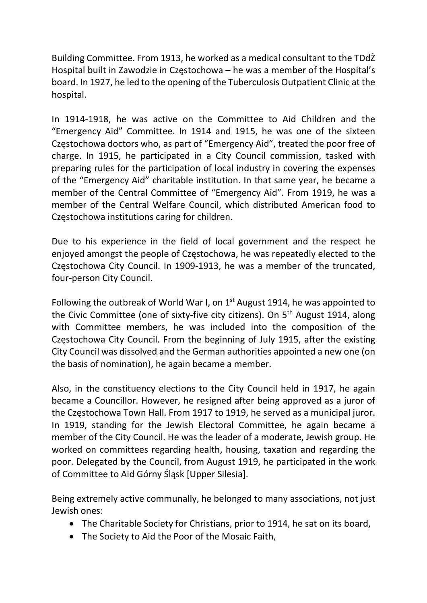Building Committee. From 1913, he worked as a medical consultant to the TDdŻ Hospital built in Zawodzie in Częstochowa – he was a member of the Hospital's board. In 1927, he led to the opening of the Tuberculosis Outpatient Clinic at the hospital.

In 1914-1918, he was active on the Committee to Aid Children and the "Emergency Aid" Committee. In 1914 and 1915, he was one of the sixteen Częstochowa doctors who, as part of "Emergency Aid", treated the poor free of charge. In 1915, he participated in a City Council commission, tasked with preparing rules for the participation of local industry in covering the expenses of the "Emergency Aid" charitable institution. In that same year, he became a member of the Central Committee of "Emergency Aid". From 1919, he was a member of the Central Welfare Council, which distributed American food to Częstochowa institutions caring for children.

Due to his experience in the field of local government and the respect he enjoyed amongst the people of Częstochowa, he was repeatedly elected to the Częstochowa City Council. In 1909-1913, he was a member of the truncated, four-person City Council.

Following the outbreak of World War I, on 1<sup>st</sup> August 1914, he was appointed to the Civic Committee (one of sixty-five city citizens). On 5<sup>th</sup> August 1914, along with Committee members, he was included into the composition of the Częstochowa City Council. From the beginning of July 1915, after the existing City Council was dissolved and the German authorities appointed a new one (on the basis of nomination), he again became a member.

Also, in the constituency elections to the City Council held in 1917, he again became a Councillor. However, he resigned after being approved as a juror of the Częstochowa Town Hall. From 1917 to 1919, he served as a municipal juror. In 1919, standing for the Jewish Electoral Committee, he again became a member of the City Council. He was the leader of a moderate, Jewish group. He worked on committees regarding health, housing, taxation and regarding the poor. Delegated by the Council, from August 1919, he participated in the work of Committee to Aid Górny Śląsk [Upper Silesia].

Being extremely active communally, he belonged to many associations, not just Jewish ones:

- The Charitable Society for Christians, prior to 1914, he sat on its board,
- The Society to Aid the Poor of the Mosaic Faith,